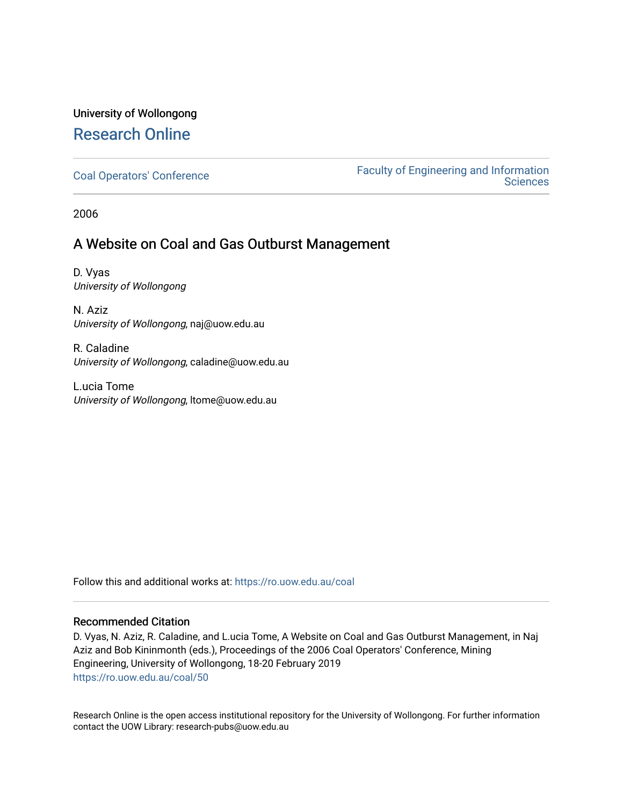# University of Wollongong [Research Online](https://ro.uow.edu.au/)

[Coal Operators' Conference](https://ro.uow.edu.au/coal) [Faculty of Engineering and Information](https://ro.uow.edu.au/eis)  **Sciences** 

2006

## A Website on Coal and Gas Outburst Management

D. Vyas University of Wollongong

N. Aziz University of Wollongong, naj@uow.edu.au

R. Caladine University of Wollongong, caladine@uow.edu.au

L.ucia Tome University of Wollongong, ltome@uow.edu.au

Follow this and additional works at: [https://ro.uow.edu.au/coal](https://ro.uow.edu.au/coal?utm_source=ro.uow.edu.au%2Fcoal%2F50&utm_medium=PDF&utm_campaign=PDFCoverPages) 

## Recommended Citation

D. Vyas, N. Aziz, R. Caladine, and L.ucia Tome, A Website on Coal and Gas Outburst Management, in Naj Aziz and Bob Kininmonth (eds.), Proceedings of the 2006 Coal Operators' Conference, Mining Engineering, University of Wollongong, 18-20 February 2019 [https://ro.uow.edu.au/coal/50](https://ro.uow.edu.au/coal/50?utm_source=ro.uow.edu.au%2Fcoal%2F50&utm_medium=PDF&utm_campaign=PDFCoverPages) 

Research Online is the open access institutional repository for the University of Wollongong. For further information contact the UOW Library: research-pubs@uow.edu.au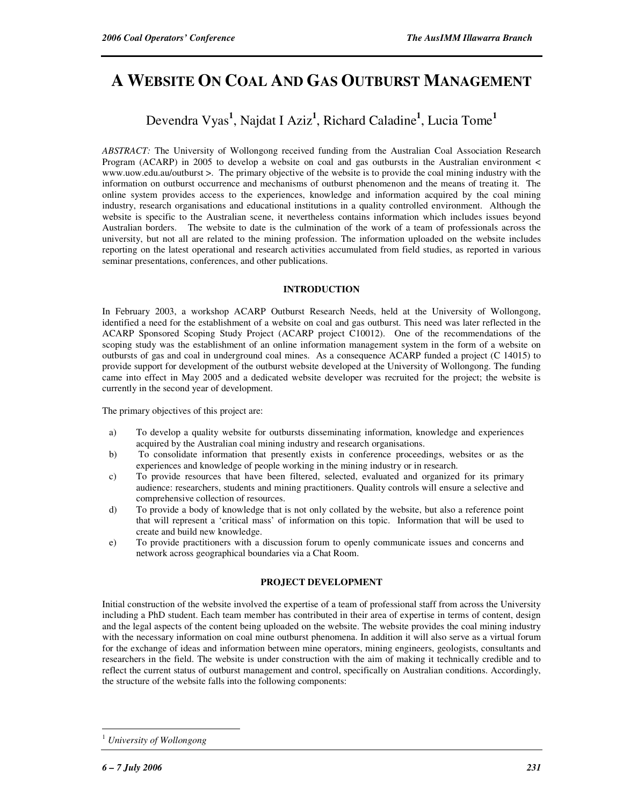# **A WEBSITE ON COAL AND GAS OUTBURST MANAGEMENT**

## Devendra Vyas**<sup>1</sup>** , Najdat I Aziz**<sup>1</sup>** , Richard Caladine**<sup>1</sup>** , Lucia Tome**<sup>1</sup>**

*ABSTRACT:* The University of Wollongong received funding from the Australian Coal Association Research Program (ACARP) in 2005 to develop a website on coal and gas outbursts in the Australian environment < www.uow.edu.au/outburst >. The primary objective of the website is to provide the coal mining industry with the information on outburst occurrence and mechanisms of outburst phenomenon and the means of treating it. The online system provides access to the experiences, knowledge and information acquired by the coal mining industry, research organisations and educational institutions in a quality controlled environment. Although the website is specific to the Australian scene, it nevertheless contains information which includes issues beyond Australian borders. The website to date is the culmination of the work of a team of professionals across the university, but not all are related to the mining profession. The information uploaded on the website includes reporting on the latest operational and research activities accumulated from field studies, as reported in various seminar presentations, conferences, and other publications.

## **INTRODUCTION**

In February 2003, a workshop ACARP Outburst Research Needs, held at the University of Wollongong, identified a need for the establishment of a website on coal and gas outburst. This need was later reflected in the ACARP Sponsored Scoping Study Project (ACARP project C10012). One of the recommendations of the scoping study was the establishment of an online information management system in the form of a website on outbursts of gas and coal in underground coal mines. As a consequence ACARP funded a project (C 14015) to provide support for development of the outburst website developed at the University of Wollongong. The funding came into effect in May 2005 and a dedicated website developer was recruited for the project; the website is currently in the second year of development.

The primary objectives of this project are:

- a) To develop a quality website for outbursts disseminating information, knowledge and experiences acquired by the Australian coal mining industry and research organisations.
- b) To consolidate information that presently exists in conference proceedings, websites or as the experiences and knowledge of people working in the mining industry or in research.
- c) To provide resources that have been filtered, selected, evaluated and organized for its primary audience: researchers, students and mining practitioners. Quality controls will ensure a selective and comprehensive collection of resources.
- d) To provide a body of knowledge that is not only collated by the website, but also a reference point that will represent a 'critical mass' of information on this topic. Information that will be used to create and build new knowledge.
- e) To provide practitioners with a discussion forum to openly communicate issues and concerns and network across geographical boundaries via a Chat Room.

#### **PROJECT DEVELOPMENT**

Initial construction of the website involved the expertise of a team of professional staff from across the University including a PhD student. Each team member has contributed in their area of expertise in terms of content, design and the legal aspects of the content being uploaded on the website. The website provides the coal mining industry with the necessary information on coal mine outburst phenomena. In addition it will also serve as a virtual forum for the exchange of ideas and information between mine operators, mining engineers, geologists, consultants and researchers in the field. The website is under construction with the aim of making it technically credible and to reflect the current status of outburst management and control, specifically on Australian conditions. Accordingly, the structure of the website falls into the following components:

 $\overline{a}$ 

<sup>1</sup> *University of Wollongong*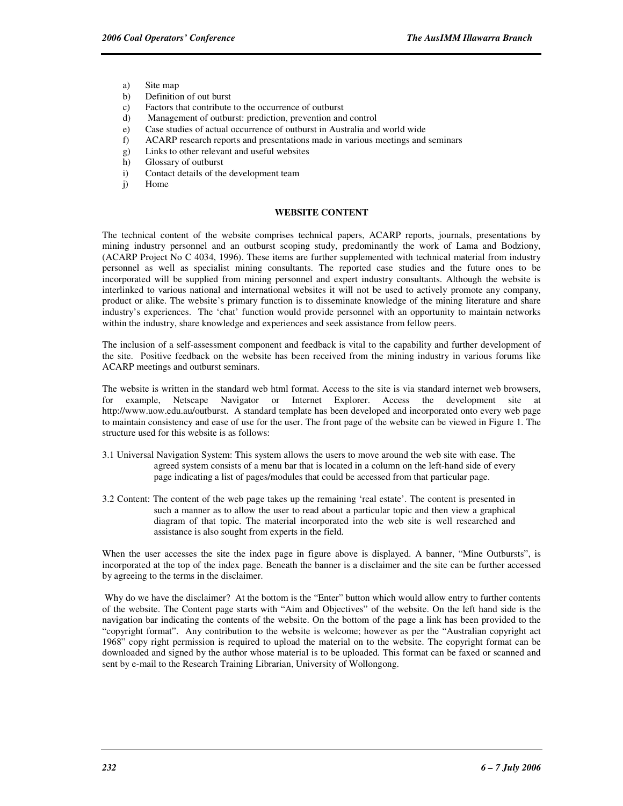- a) Site map
- b) Definition of out burst
- c) Factors that contribute to the occurrence of outburst
- d) Management of outburst: prediction, prevention and control
- e) Case studies of actual occurrence of outburst in Australia and world wide
- f) ACARP research reports and presentations made in various meetings and seminars
- g) Links to other relevant and useful websites
- h) Glossary of outburst
- i) Contact details of the development team
- j) Home

#### **WEBSITE CONTENT**

The technical content of the website comprises technical papers, ACARP reports, journals, presentations by mining industry personnel and an outburst scoping study, predominantly the work of Lama and Bodziony, (ACARP Project No C 4034, 1996). These items are further supplemented with technical material from industry personnel as well as specialist mining consultants. The reported case studies and the future ones to be incorporated will be supplied from mining personnel and expert industry consultants. Although the website is interlinked to various national and international websites it will not be used to actively promote any company, product or alike. The website's primary function is to disseminate knowledge of the mining literature and share industry's experiences. The 'chat' function would provide personnel with an opportunity to maintain networks within the industry, share knowledge and experiences and seek assistance from fellow peers.

The inclusion of a self-assessment component and feedback is vital to the capability and further development of the site. Positive feedback on the website has been received from the mining industry in various forums like ACARP meetings and outburst seminars.

The website is written in the standard web html format. Access to the site is via standard internet web browsers, for example, Netscape Navigator or Internet Explorer. Access the development site at http://www.uow.edu.au/outburst. A standard template has been developed and incorporated onto every web page to maintain consistency and ease of use for the user. The front page of the website can be viewed in Figure 1. The structure used for this website is as follows:

- 3.1 Universal Navigation System: This system allows the users to move around the web site with ease. The agreed system consists of a menu bar that is located in a column on the left-hand side of every page indicating a list of pages/modules that could be accessed from that particular page.
- 3.2 Content: The content of the web page takes up the remaining 'real estate'. The content is presented in such a manner as to allow the user to read about a particular topic and then view a graphical diagram of that topic. The material incorporated into the web site is well researched and assistance is also sought from experts in the field.

When the user accesses the site the index page in figure above is displayed. A banner, "Mine Outbursts", is incorporated at the top of the index page. Beneath the banner is a disclaimer and the site can be further accessed by agreeing to the terms in the disclaimer.

 Why do we have the disclaimer? At the bottom is the "Enter" button which would allow entry to further contents of the website. The Content page starts with "Aim and Objectives" of the website. On the left hand side is the navigation bar indicating the contents of the website. On the bottom of the page a link has been provided to the "copyright format". Any contribution to the website is welcome; however as per the "Australian copyright act 1968" copy right permission is required to upload the material on to the website. The copyright format can be downloaded and signed by the author whose material is to be uploaded. This format can be faxed or scanned and sent by e-mail to the Research Training Librarian, University of Wollongong.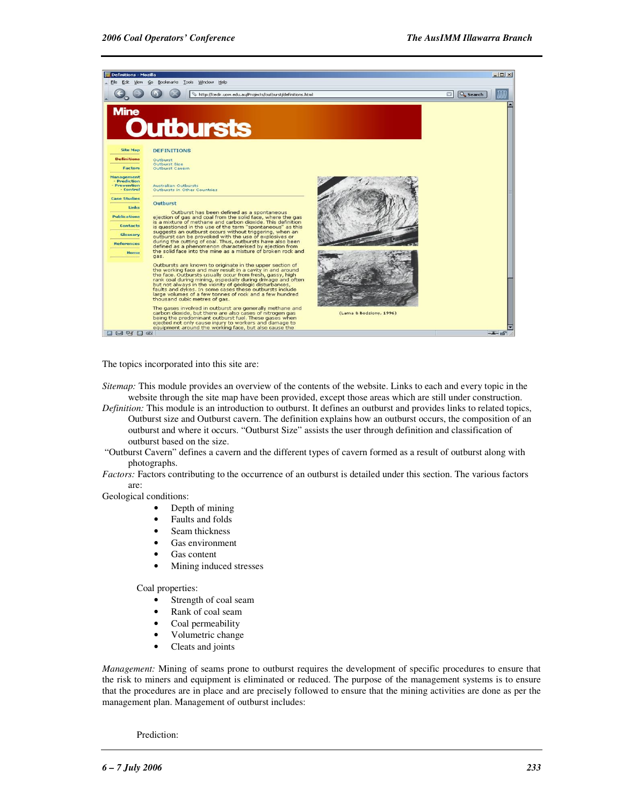

The topics incorporated into this site are:

- *Sitemap:* This module provides an overview of the contents of the website. Links to each and every topic in the website through the site map have been provided, except those areas which are still under construction.
- *Definition:* This module is an introduction to outburst. It defines an outburst and provides links to related topics, Outburst size and Outburst cavern. The definition explains how an outburst occurs, the composition of an outburst and where it occurs. "Outburst Size" assists the user through definition and classification of outburst based on the size.
- "Outburst Cavern" defines a cavern and the different types of cavern formed as a result of outburst along with photographs.
- *Factors:* Factors contributing to the occurrence of an outburst is detailed under this section. The various factors are:

Geological conditions:

- Depth of mining
- Faults and folds
- Seam thickness
- Gas environment
- Gas content
- Mining induced stresses

Coal properties:

- Strength of coal seam
- Rank of coal seam
- Coal permeability
- Volumetric change
- Cleats and joints

*Management:* Mining of seams prone to outburst requires the development of specific procedures to ensure that the risk to miners and equipment is eliminated or reduced. The purpose of the management systems is to ensure that the procedures are in place and are precisely followed to ensure that the mining activities are done as per the management plan. Management of outburst includes:

Prediction: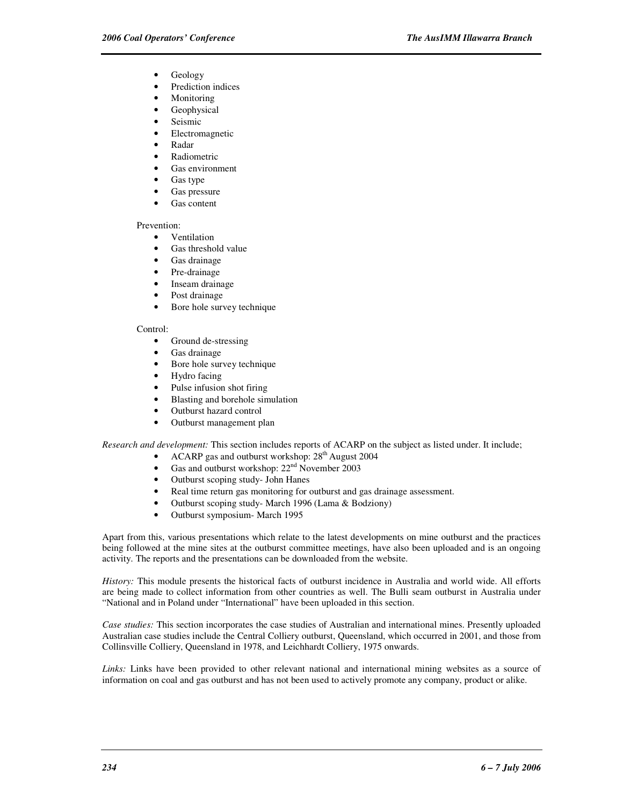- Geology
- Prediction indices
- **Monitoring**
- Geophysical
- Seismic
- Electromagnetic
- Radar
- **Radiometric**
- Gas environment
- Gas type
- Gas pressure
- Gas content

#### Prevention:

- Ventilation
- Gas threshold value
- Gas drainage
- Pre-drainage
- Inseam drainage
- Post drainage
- Bore hole survey technique

#### Control:

- Ground de-stressing
- Gas drainage
- Bore hole survey technique
- Hydro facing
- Pulse infusion shot firing
- Blasting and borehole simulation
- Outburst hazard control
- Outburst management plan

*Research and development:* This section includes reports of ACARP on the subject as listed under. It include;

- ACARP gas and outburst workshop:  $28<sup>th</sup>$  August 2004
- Gas and outburst workshop:  $22<sup>nd</sup>$  November 2003
- Outburst scoping study- John Hanes
- Real time return gas monitoring for outburst and gas drainage assessment.
- Outburst scoping study- March 1996 (Lama & Bodziony)
- Outburst symposium- March 1995

Apart from this, various presentations which relate to the latest developments on mine outburst and the practices being followed at the mine sites at the outburst committee meetings, have also been uploaded and is an ongoing activity. The reports and the presentations can be downloaded from the website.

*History:* This module presents the historical facts of outburst incidence in Australia and world wide. All efforts are being made to collect information from other countries as well. The Bulli seam outburst in Australia under "National and in Poland under "International" have been uploaded in this section.

*Case studies:* This section incorporates the case studies of Australian and international mines. Presently uploaded Australian case studies include the Central Colliery outburst, Queensland, which occurred in 2001, and those from Collinsville Colliery, Queensland in 1978, and Leichhardt Colliery, 1975 onwards.

*Links:* Links have been provided to other relevant national and international mining websites as a source of information on coal and gas outburst and has not been used to actively promote any company, product or alike.